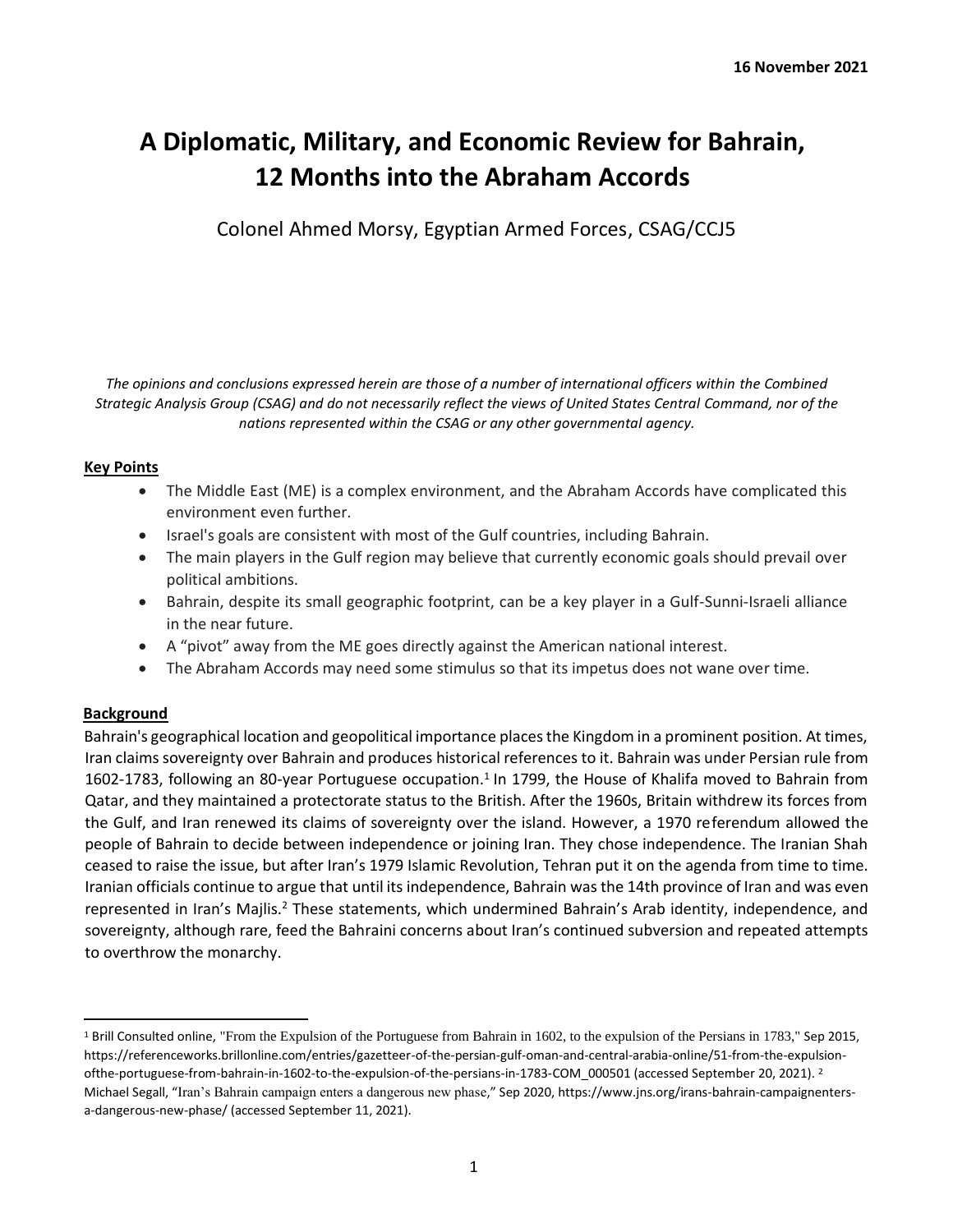# **A Diplomatic, Military, and Economic Review for Bahrain, 12 Months into the Abraham Accords**

Colonel Ahmed Morsy, Egyptian Armed Forces, CSAG/CCJ5

*The opinions and conclusions expressed herein are those of a number of international officers within the Combined Strategic Analysis Group (CSAG) and do not necessarily reflect the views of United States Central Command, nor of the nations represented within the CSAG or any other governmental agency.*

## **Key Points**

- The Middle East (ME) is a complex environment, and the Abraham Accords have complicated this environment even further.
- Israel's goals are consistent with most of the Gulf countries, including Bahrain.
- The main players in the Gulf region may believe that currently economic goals should prevail over political ambitions.
- Bahrain, despite its small geographic footprint, can be a key player in a Gulf-Sunni-Israeli alliance in the near future.
- A "pivot" away from the ME goes directly against the American national interest.
- The Abraham Accords may need some stimulus so that its impetus does not wane over time.

# **Background**

Bahrain's geographical location and geopolitical importance places the Kingdom in a prominent position. At times, Iran claims sovereignty over Bahrain and produces historical references to it. Bahrain was under Persian rule from 1602-1783, following an 80-year Portuguese occupation.<sup>1</sup> In 1799, the House of Khalifa moved to Bahrain from Qatar, and they maintained a protectorate status to the British. After the 1960s, Britain withdrew its forces from the Gulf, and Iran renewed its claims of sovereignty over the island. However, a 1970 referendum allowed the people of Bahrain to decide between independence or joining Iran. They chose independence. The Iranian Shah ceased to raise the issue, but after Iran's 1979 Islamic Revolution, Tehran put it on the agenda from time to time. Iranian officials continue to argue that until its independence, Bahrain was the 14th province of Iran and was even represented in Iran's Majlis.<sup>2</sup> These statements, which undermined Bahrain's Arab identity, independence, and sovereignty, although rare, feed the Bahraini concerns about Iran's continued subversion and repeated attempts to overthrow the monarchy.

<sup>1</sup> Brill Consulted online, "From the Expulsion of the Portuguese from Bahrain in 1602, to the expulsion of the Persians in 1783," Sep 2015, https://referenceworks.brillonline.com/entries/gazetteer-of-the-persian-gulf-oman-and-central-arabia-online/51-from-the-expulsionofthe-portuguese-from-bahrain-in-1602-to-the-expulsion-of-the-persians-in-1783-COM 000501 (accessed September 20, 2021). <sup>2</sup> Michael Segall, "Iran's Bahrain campaign enters a dangerous new phase," Sep 2020, https://www.jns.org/irans-bahrain-campaignentersa-dangerous-new-phase/ (accessed September 11, 2021).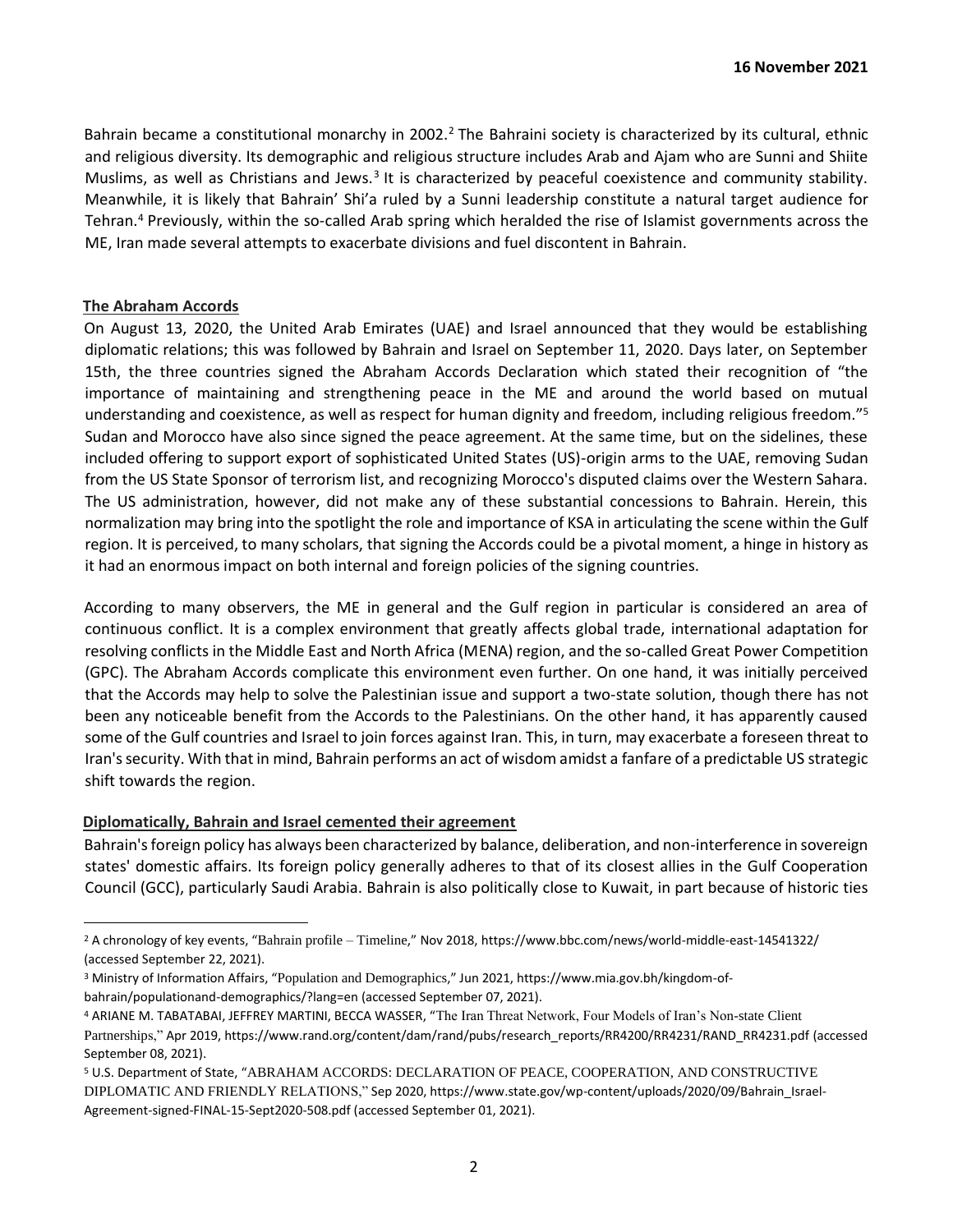Bahrain became a constitutional monarchy in 2002.<sup>2</sup> The Bahraini society is characterized by its cultural, ethnic and religious diversity. Its demographic and religious structure includes Arab and Ajam who are Sunni and Shiite Muslims, as well as Christians and Jews.<sup>3</sup> It is characterized by peaceful coexistence and community stability. Meanwhile, it is likely that Bahrain' Shi'a ruled by a Sunni leadership constitute a natural target audience for Tehran.<sup>4</sup> Previously, within the so-called Arab spring which heralded the rise of Islamist governments across the ME, Iran made several attempts to exacerbate divisions and fuel discontent in Bahrain.

## **The Abraham Accords**

On August 13, 2020, the United Arab Emirates (UAE) and Israel announced that they would be establishing diplomatic relations; this was followed by Bahrain and Israel on September 11, 2020. Days later, on September 15th, the three countries signed the Abraham Accords Declaration which stated their recognition of "the importance of maintaining and strengthening peace in the ME and around the world based on mutual understanding and coexistence, as well as respect for human dignity and freedom, including religious freedom."<sup>5</sup> Sudan and Morocco have also since signed the peace agreement. At the same time, but on the sidelines, these included offering to support export of sophisticated United States (US)-origin arms to the UAE, removing Sudan from the US State Sponsor of terrorism list, and recognizing Morocco's disputed claims over the Western Sahara. The US administration, however, did not make any of these substantial concessions to Bahrain. Herein, this normalization may bring into the spotlight the role and importance of KSA in articulating the scene within the Gulf region. It is perceived, to many scholars, that signing the Accords could be a pivotal moment, a hinge in history as it had an enormous impact on both internal and foreign policies of the signing countries.

According to many observers, the ME in general and the Gulf region in particular is considered an area of continuous conflict. It is a complex environment that greatly affects global trade, international adaptation for resolving conflicts in the Middle East and North Africa (MENA) region, and the so-called Great Power Competition (GPC). The Abraham Accords complicate this environment even further. On one hand, it was initially perceived that the Accords may help to solve the Palestinian issue and support a two-state solution, though there has not been any noticeable benefit from the Accords to the Palestinians. On the other hand, it has apparently caused some of the Gulf countries and Israel to join forces against Iran. This, in turn, may exacerbate a foreseen threat to Iran's security. With that in mind, Bahrain performs an act of wisdom amidst a fanfare of a predictable US strategic shift towards the region.

# **Diplomatically, Bahrain and Israel cemented their agreement**

Bahrain's foreign policy has always been characterized by balance, deliberation, and non-interference in sovereign states' domestic affairs. Its foreign policy generally adheres to that of its closest allies in the Gulf Cooperation Council (GCC), particularly Saudi Arabia. Bahrain is also politically close to Kuwait, in part because of historic ties

<sup>2</sup> A chronology of key events, "Bahrain profile – Timeline," Nov 2018, https://www.bbc.com/news/world-middle-east-14541322/ (accessed September 22, 2021).

<sup>3</sup> Ministry of Information Affairs, "Population and Demographics," Jun 2021, https://www.mia.gov.bh/kingdom-ofbahrain/populationand-demographics/?lang=en (accessed September 07, 2021).

<sup>4</sup> ARIANE M. TABATABAI, JEFFREY MARTINI, BECCA WASSER, "The Iran Threat Network, Four Models of Iran's Non-state Client Partnerships," Apr 2019, https://www.rand.org/content/dam/rand/pubs/research\_reports/RR4200/RR4231/RAND\_RR4231.pdf (accessed September 08, 2021).

<sup>5</sup> U.S. Department of State, "ABRAHAM ACCORDS: DECLARATION OF PEACE, COOPERATION, AND CONSTRUCTIVE DIPLOMATIC AND FRIENDLY RELATIONS," Sep 2020, https://www.state.gov/wp-content/uploads/2020/09/Bahrain\_Israel-Agreement-signed-FINAL-15-Sept2020-508.pdf (accessed September 01, 2021).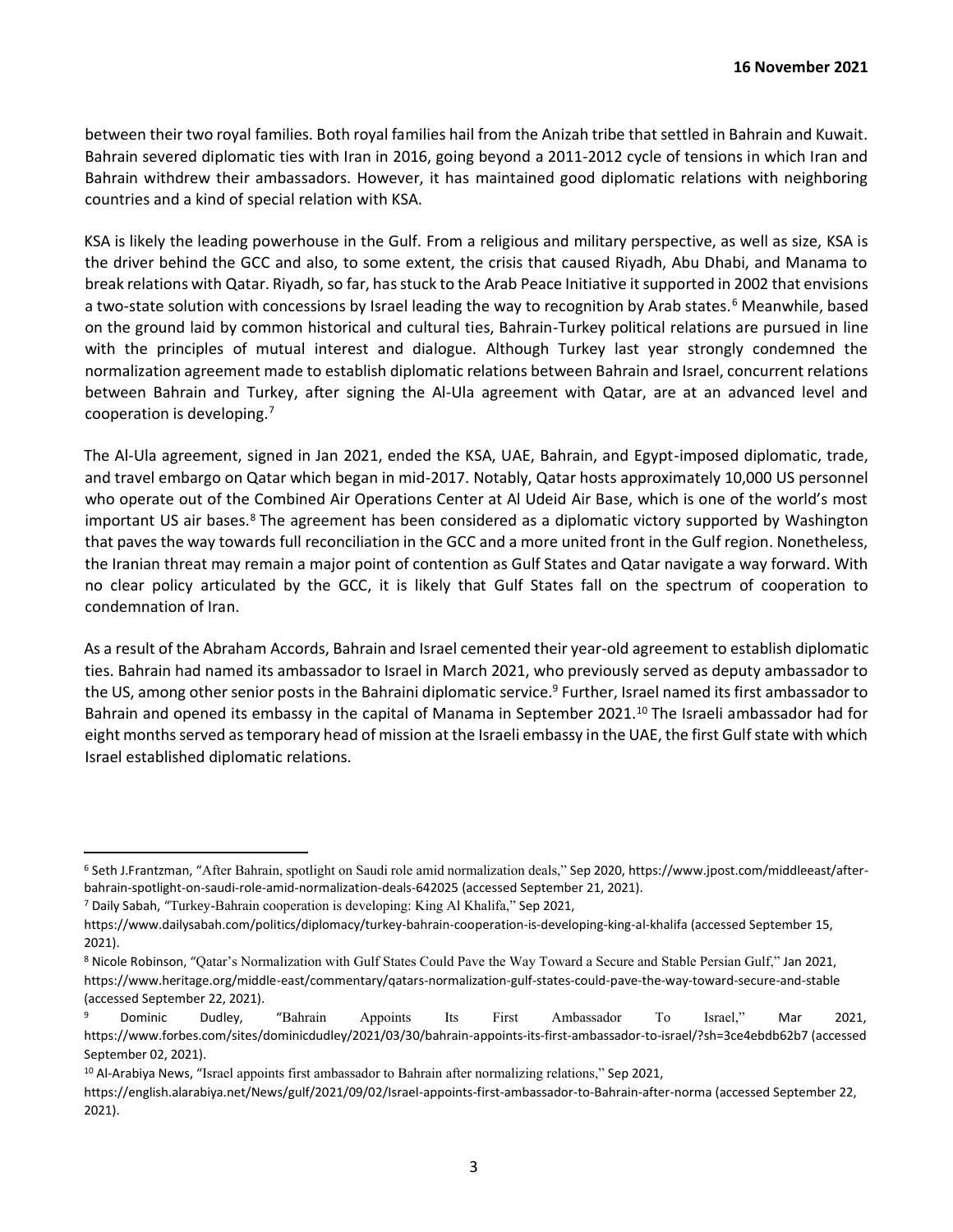between their two royal families. Both royal families hail from the Anizah tribe that settled in Bahrain and Kuwait. Bahrain severed diplomatic ties with Iran in 2016, going beyond a 2011-2012 cycle of tensions in which Iran and Bahrain withdrew their ambassadors. However, it has maintained good diplomatic relations with neighboring countries and a kind of special relation with KSA.

KSA is likely the leading powerhouse in the Gulf. From a religious and military perspective, as well as size, KSA is the driver behind the GCC and also, to some extent, the crisis that caused Riyadh, Abu Dhabi, and Manama to break relations with Qatar. Riyadh, so far, has stuck to the Arab Peace Initiative it supported in 2002 that envisions a two-state solution with concessions by Israel leading the way to recognition by Arab states.<sup>6</sup> Meanwhile, based on the ground laid by common historical and cultural ties, Bahrain-Turkey political relations are pursued in line with the principles of mutual interest and dialogue. Although Turkey last year strongly condemned the normalization agreement made to establish diplomatic relations between Bahrain and Israel, concurrent relations between Bahrain and Turkey, after signing the Al-Ula agreement with Qatar, are at an advanced level and cooperation is developing.<sup>7</sup>

The Al-Ula agreement, signed in Jan 2021, ended the KSA, UAE, Bahrain, and Egypt-imposed diplomatic, trade, and travel embargo on Qatar which began in mid-2017. Notably, Qatar hosts approximately 10,000 US personnel who operate out of the Combined Air Operations Center at Al Udeid Air Base, which is one of the world's most important US air bases.<sup>8</sup> The agreement has been considered as a diplomatic victory supported by Washington that paves the way towards full reconciliation in the GCC and a more united front in the Gulf region. Nonetheless, the Iranian threat may remain a major point of contention as Gulf States and Qatar navigate a way forward. With no clear policy articulated by the GCC, it is likely that Gulf States fall on the spectrum of cooperation to condemnation of Iran.

As a result of the Abraham Accords, Bahrain and Israel cemented their year-old agreement to establish diplomatic ties. Bahrain had named its ambassador to Israel in March 2021, who previously served as deputy ambassador to the US, among other senior posts in the Bahraini diplomatic service.<sup>9</sup> Further, Israel named its first ambassador to Bahrain and opened its embassy in the capital of Manama in September 2021.<sup>10</sup> The Israeli ambassador had for eight months served as temporary head of mission at the Israeli embassy in the UAE, the first Gulf state with which Israel established diplomatic relations.

<sup>6</sup> Seth J.Frantzman, "After Bahrain, spotlight on Saudi role amid normalization deals," Sep 2020, https://www.jpost.com/middleeast/afterbahrain-spotlight-on-saudi-role-amid-normalization-deals-642025 (accessed September 21, 2021).

<sup>7</sup> Daily Sabah, "Turkey-Bahrain cooperation is developing: King Al Khalifa," Sep 2021,

https://www.dailysabah.com/politics/diplomacy/turkey-bahrain-cooperation-is-developing-king-al-khalifa (accessed September 15, 2021).

<sup>8</sup> Nicole Robinson, "Qatar's Normalization with Gulf States Could Pave the Way Toward a Secure and Stable Persian Gulf," Jan 2021, https://www.heritage.org/middle-east/commentary/qatars-normalization-gulf-states-could-pave-the-way-toward-secure-and-stable (accessed September 22, 2021).

<sup>9</sup> Dominic Dudley, "Bahrain Appoints Its First Ambassador To Israel," Mar 2021, https://www.forbes.com/sites/dominicdudley/2021/03/30/bahrain-appoints-its-first-ambassador-to-israel/?sh=3ce4ebdb62b7 (accessed September 02, 2021).

<sup>10</sup> Al-Arabiya News, "Israel appoints first ambassador to Bahrain after normalizing relations," Sep 2021,

https://english.alarabiya.net/News/gulf/2021/09/02/Israel-appoints-first-ambassador-to-Bahrain-after-norma (accessed September 22, 2021).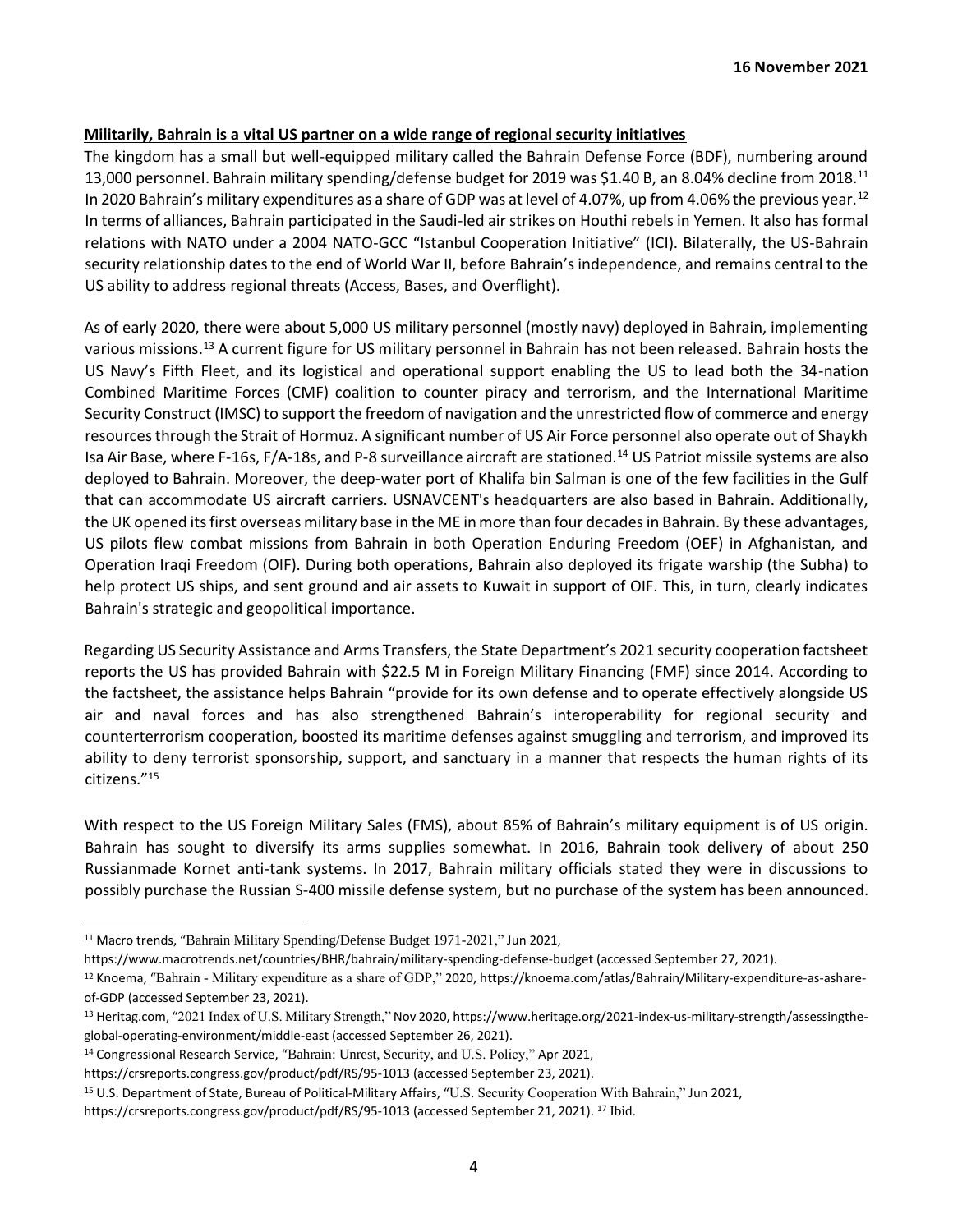# **Militarily, Bahrain is a vital US partner on a wide range of regional security initiatives**

The kingdom has a small but well-equipped military called the Bahrain Defense Force (BDF), numbering around 13,000 personnel. Bahrain military spending/defense budget for 2019 was \$1.40 B, an 8.04% decline from 2018.<sup>11</sup> In 2020 Bahrain's military expenditures as a share of GDP was at level of 4.07%, up from 4.06% the previous year.<sup>12</sup> In terms of alliances, Bahrain participated in the Saudi-led air strikes on Houthi rebels in Yemen. It also has formal relations with NATO under a 2004 NATO-GCC "Istanbul Cooperation Initiative" (ICI). Bilaterally, the US-Bahrain security relationship dates to the end of World War II, before Bahrain's independence, and remains central to the US ability to address regional threats (Access, Bases, and Overflight).

As of early 2020, there were about 5,000 US military personnel (mostly navy) deployed in Bahrain, implementing various missions.<sup>13</sup> A current figure for US military personnel in Bahrain has not been released. Bahrain hosts the US Navy's Fifth Fleet, and its logistical and operational support enabling the US to lead both the 34-nation Combined Maritime Forces (CMF) coalition to counter piracy and terrorism, and the International Maritime Security Construct (IMSC) to support the freedom of navigation and the unrestricted flow of commerce and energy resources through the Strait of Hormuz. A significant number of US Air Force personnel also operate out of Shaykh Isa Air Base, where F-16s, F/A-18s, and P-8 surveillance aircraft are stationed.<sup>14</sup> US Patriot missile systems are also deployed to Bahrain. Moreover, the deep-water port of Khalifa bin Salman is one of the few facilities in the Gulf that can accommodate US aircraft carriers. USNAVCENT's headquarters are also based in Bahrain. Additionally, the UK opened its first overseas military base in the ME in more than four decades in Bahrain. By these advantages, US pilots flew combat missions from Bahrain in both Operation Enduring Freedom (OEF) in Afghanistan, and Operation Iraqi Freedom (OIF). During both operations, Bahrain also deployed its frigate warship (the Subha) to help protect US ships, and sent ground and air assets to Kuwait in support of OIF. This, in turn, clearly indicates Bahrain's strategic and geopolitical importance.

Regarding US Security Assistance and Arms Transfers, the State Department's 2021 security cooperation factsheet reports the US has provided Bahrain with \$22.5 M in Foreign Military Financing (FMF) since 2014. According to the factsheet, the assistance helps Bahrain "provide for its own defense and to operate effectively alongside US air and naval forces and has also strengthened Bahrain's interoperability for regional security and counterterrorism cooperation, boosted its maritime defenses against smuggling and terrorism, and improved its ability to deny terrorist sponsorship, support, and sanctuary in a manner that respects the human rights of its citizens."<sup>15</sup>

With respect to the US Foreign Military Sales (FMS), about 85% of Bahrain's military equipment is of US origin. Bahrain has sought to diversify its arms supplies somewhat. In 2016, Bahrain took delivery of about 250 Russianmade Kornet anti-tank systems. In 2017, Bahrain military officials stated they were in discussions to possibly purchase the Russian S-400 missile defense system, but no purchase of the system has been announced.

https://www.macrotrends.net/countries/BHR/bahrain/military-spending-defense-budget (accessed September 27, 2021).

<sup>14</sup> Congressional Research Service, "Bahrain: Unrest, Security, and U.S. Policy," Apr 2021,

<sup>11</sup> Macro trends, "Bahrain Military Spending/Defense Budget 1971-2021," Jun 2021,

<sup>12</sup> Knoema, "Bahrain - Military expenditure as a share of GDP," 2020, https://knoema.com/atlas/Bahrain/Military-expenditure-as-ashareof-GDP (accessed September 23, 2021).

<sup>13</sup> Heritag.com, "2021 Index of U.S. Military Strength," Nov 2020, https://www.heritage.org/2021-index-us-military-strength/assessingtheglobal-operating-environment/middle-east (accessed September 26, 2021).

https://crsreports.congress.gov/product/pdf/RS/95-1013 (accessed September 23, 2021).

<sup>15</sup> U.S. Department of State, Bureau of Political-Military Affairs, "U.S. Security Cooperation With Bahrain," Jun 2021,

https://crsreports.congress.gov/product/pdf/RS/95-1013 (accessed September 21, 2021). <sup>17</sup> Ibid.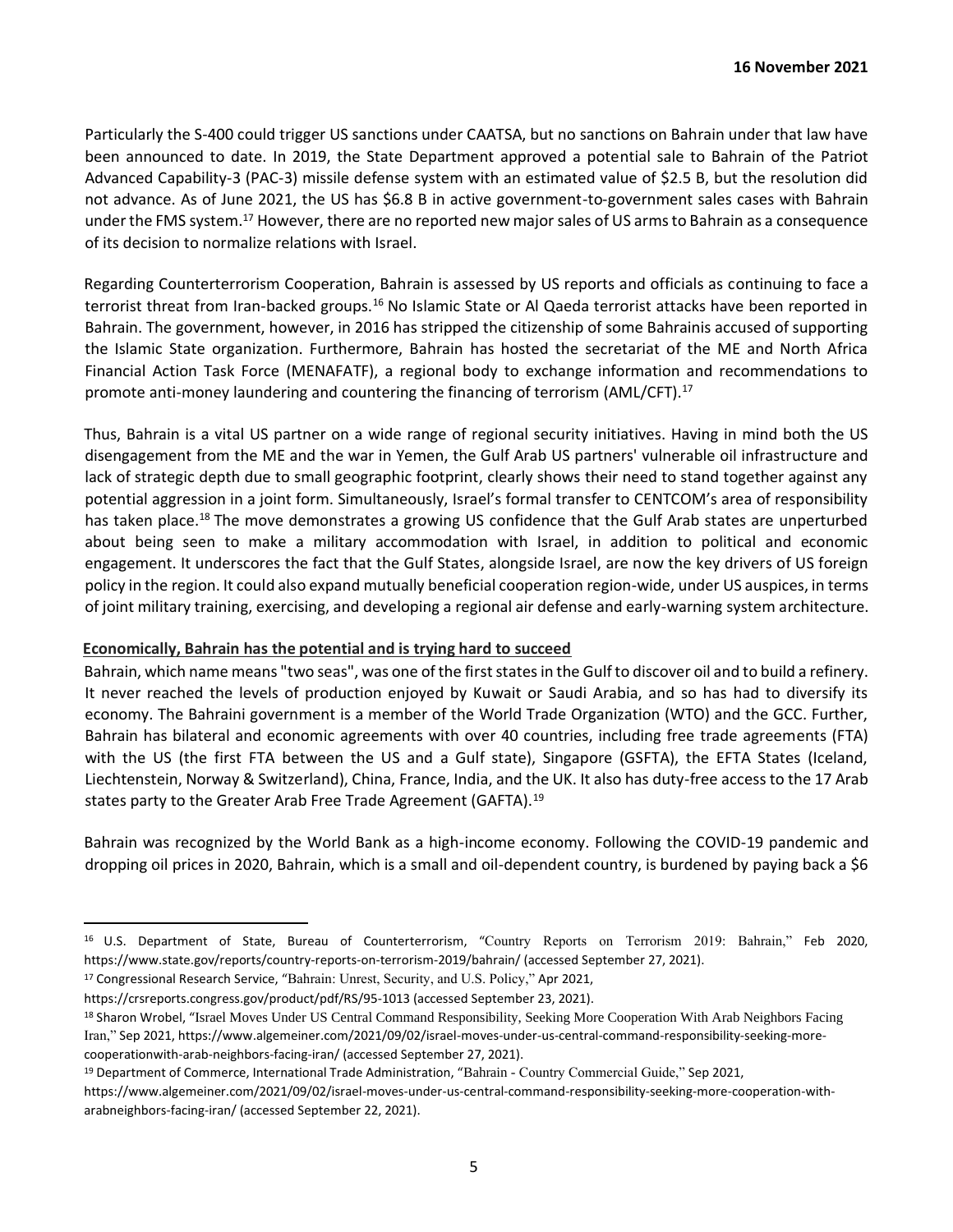Particularly the S-400 could trigger US sanctions under CAATSA, but no sanctions on Bahrain under that law have been announced to date. In 2019, the State Department approved a potential sale to Bahrain of the Patriot Advanced Capability-3 (PAC-3) missile defense system with an estimated value of \$2.5 B, but the resolution did not advance. As of June 2021, the US has \$6.8 B in active government-to-government sales cases with Bahrain under the FMS system.<sup>17</sup> However, there are no reported new major sales of US arms to Bahrain as a consequence of its decision to normalize relations with Israel.

Regarding Counterterrorism Cooperation, Bahrain is assessed by US reports and officials as continuing to face a terrorist threat from Iran-backed groups.<sup>16</sup> No Islamic State or Al Qaeda terrorist attacks have been reported in Bahrain. The government, however, in 2016 has stripped the citizenship of some Bahrainis accused of supporting the Islamic State organization. Furthermore, Bahrain has hosted the secretariat of the ME and North Africa Financial Action Task Force (MENAFATF), a regional body to exchange information and recommendations to promote anti-money laundering and countering the financing of terrorism (AML/CFT).<sup>17</sup>

Thus, Bahrain is a vital US partner on a wide range of regional security initiatives. Having in mind both the US disengagement from the ME and the war in Yemen, the Gulf Arab US partners' vulnerable oil infrastructure and lack of strategic depth due to small geographic footprint, clearly shows their need to stand together against any potential aggression in a joint form. Simultaneously, Israel's formal transfer to CENTCOM's area of responsibility has taken place.<sup>18</sup> The move demonstrates a growing US confidence that the Gulf Arab states are unperturbed about being seen to make a military accommodation with Israel, in addition to political and economic engagement. It underscores the fact that the Gulf States, alongside Israel, are now the key drivers of US foreign policy in the region. It could also expand mutually beneficial cooperation region-wide, under US auspices, in terms of joint military training, exercising, and developing a regional air defense and early-warning system architecture.

# **Economically, Bahrain has the potential and is trying hard to succeed**

Bahrain, which name means "two seas", was one of the first states in the Gulf to discover oil and to build a refinery. It never reached the levels of production enjoyed by Kuwait or Saudi Arabia, and so has had to diversify its economy. The Bahraini government is a member of the World Trade Organization (WTO) and the GCC. Further, Bahrain has bilateral and economic agreements with over 40 countries, including free trade agreements (FTA) with the US (the first FTA between the US and a Gulf state), Singapore (GSFTA), the EFTA States (Iceland, Liechtenstein, Norway & Switzerland), China, France, India, and the UK. It also has duty-free access to the 17 Arab states party to the Greater Arab Free Trade Agreement (GAFTA).<sup>19</sup>

Bahrain was recognized by the World Bank as a high-income economy. Following the COVID-19 pandemic and dropping oil prices in 2020, Bahrain, which is a small and oil-dependent country, is burdened by paying back a \$6

<sup>16</sup> U.S. Department of State, Bureau of Counterterrorism, "Country Reports on Terrorism 2019: Bahrain," Feb 2020, https://www.state.gov/reports/country-reports-on-terrorism-2019/bahrain/ (accessed September 27, 2021).

<sup>17</sup> Congressional Research Service, "Bahrain: Unrest, Security, and U.S. Policy," Apr 2021,

https://crsreports.congress.gov/product/pdf/RS/95-1013 (accessed September 23, 2021).

<sup>18</sup> Sharon Wrobel, "Israel Moves Under US Central Command Responsibility, Seeking More Cooperation With Arab Neighbors Facing Iran," Sep 2021, https://www.algemeiner.com/2021/09/02/israel-moves-under-us-central-command-responsibility-seeking-morecooperationwith-arab-neighbors-facing-iran/ (accessed September 27, 2021).

<sup>19</sup> Department of Commerce, International Trade Administration, "Bahrain - Country Commercial Guide," Sep 2021,

https://www.algemeiner.com/2021/09/02/israel-moves-under-us-central-command-responsibility-seeking-more-cooperation-witharabneighbors-facing-iran/ (accessed September 22, 2021).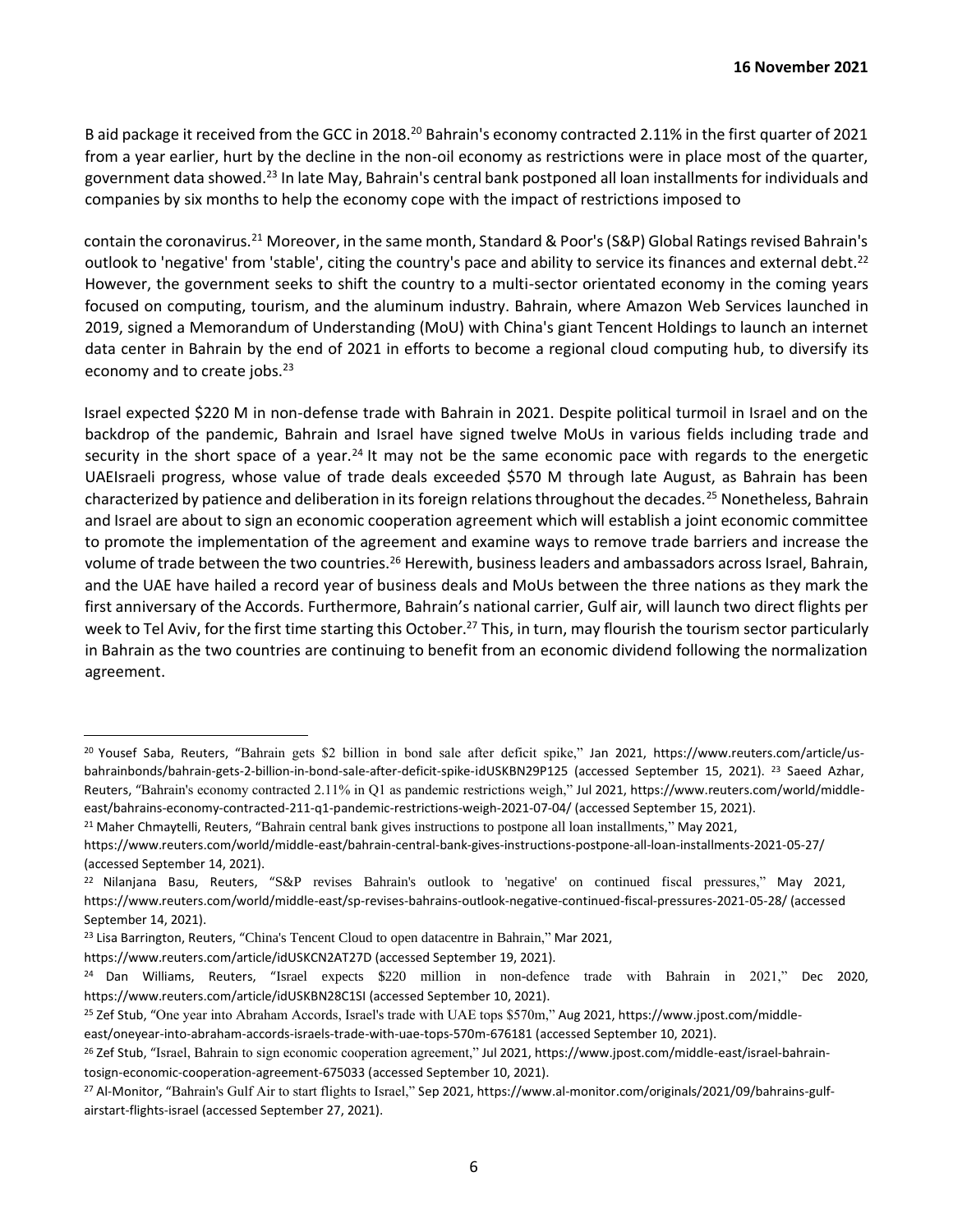B aid package it received from the GCC in 2018.<sup>20</sup> Bahrain's economy contracted 2.11% in the first quarter of 2021 from a year earlier, hurt by the decline in the non-oil economy as restrictions were in place most of the quarter, government data showed.<sup>23</sup> In late May, Bahrain's central bank postponed all loan installments for individuals and companies by six months to help the economy cope with the impact of restrictions imposed to

contain the coronavirus.<sup>21</sup> Moreover, in the same month, Standard & Poor's (S&P) Global Ratings revised Bahrain's outlook to 'negative' from 'stable', citing the country's pace and ability to service its finances and external debt.<sup>22</sup> However, the government seeks to shift the country to a multi-sector orientated economy in the coming years focused on computing, tourism, and the aluminum industry. Bahrain, where Amazon Web Services launched in 2019, signed a Memorandum of Understanding (MoU) with China's giant Tencent Holdings to launch an internet data center in Bahrain by the end of 2021 in efforts to become a regional cloud computing hub, to diversify its economy and to create jobs.<sup>23</sup>

Israel expected \$220 M in non-defense trade with Bahrain in 2021. Despite political turmoil in Israel and on the backdrop of the pandemic, Bahrain and Israel have signed twelve MoUs in various fields including trade and security in the short space of a year.<sup>24</sup> It may not be the same economic pace with regards to the energetic UAEIsraeli progress, whose value of trade deals exceeded \$570 M through late August, as Bahrain has been characterized by patience and deliberation in its foreign relations throughout the decades.<sup>25</sup> Nonetheless, Bahrain and Israel are about to sign an economic cooperation agreement which will establish a joint economic committee to promote the implementation of the agreement and examine ways to remove trade barriers and increase the volume of trade between the two countries.<sup>26</sup> Herewith, business leaders and ambassadors across Israel, Bahrain, and the UAE have hailed a record year of business deals and MoUs between the three nations as they mark the first anniversary of the Accords. Furthermore, Bahrain's national carrier, Gulf air, will launch two direct flights per week to Tel Aviv, for the first time starting this October.<sup>27</sup> This, in turn, may flourish the tourism sector particularly in Bahrain as the two countries are continuing to benefit from an economic dividend following the normalization agreement.

<sup>21</sup> Maher Chmaytelli, Reuters, "Bahrain central bank gives instructions to postpone all loan installments," May 2021,

<sup>20</sup> Yousef Saba, Reuters, "Bahrain gets \$2 billion in bond sale after deficit spike," Jan 2021, https://www.reuters.com/article/usbahrainbonds/bahrain-gets-2-billion-in-bond-sale-after-deficit-spike-idUSKBN29P125 (accessed September 15, 2021). <sup>23</sup> Saeed Azhar, Reuters, "Bahrain's economy contracted 2.11% in Q1 as pandemic restrictions weigh," Jul 2021, https://www.reuters.com/world/middleeast/bahrains-economy-contracted-211-q1-pandemic-restrictions-weigh-2021-07-04/ (accessed September 15, 2021).

https://www.reuters.com/world/middle-east/bahrain-central-bank-gives-instructions-postpone-all-loan-installments-2021-05-27/ (accessed September 14, 2021).

<sup>22</sup> Nilanjana Basu, Reuters, "S&P revises Bahrain's outlook to 'negative' on continued fiscal pressures," May 2021, https://www.reuters.com/world/middle-east/sp-revises-bahrains-outlook-negative-continued-fiscal-pressures-2021-05-28/ (accessed September 14, 2021).

<sup>&</sup>lt;sup>23</sup> Lisa Barrington, Reuters, "China's Tencent Cloud to open datacentre in Bahrain," Mar 2021,

https://www.reuters.com/article/idUSKCN2AT27D (accessed September 19, 2021).

<sup>24</sup> Dan Williams, Reuters, "Israel expects \$220 million in non-defence trade with Bahrain in 2021," Dec 2020, https://www.reuters.com/article/idUSKBN28C1SI (accessed September 10, 2021).

<sup>25</sup> Zef Stub, "One year into Abraham Accords, Israel's trade with UAE tops \$570m," Aug 2021, https://www.jpost.com/middle-

east/oneyear-into-abraham-accords-israels-trade-with-uae-tops-570m-676181 (accessed September 10, 2021).

<sup>&</sup>lt;sup>26</sup> Zef Stub, "Israel, Bahrain to sign economic cooperation agreement," Jul 2021, https://www.jpost.com/middle-east/israel-bahraintosign-economic-cooperation-agreement-675033 (accessed September 10, 2021).

<sup>27</sup> Al-Monitor, "Bahrain's Gulf Air to start flights to Israel," Sep 2021, https://www.al-monitor.com/originals/2021/09/bahrains-gulfairstart-flights-israel (accessed September 27, 2021).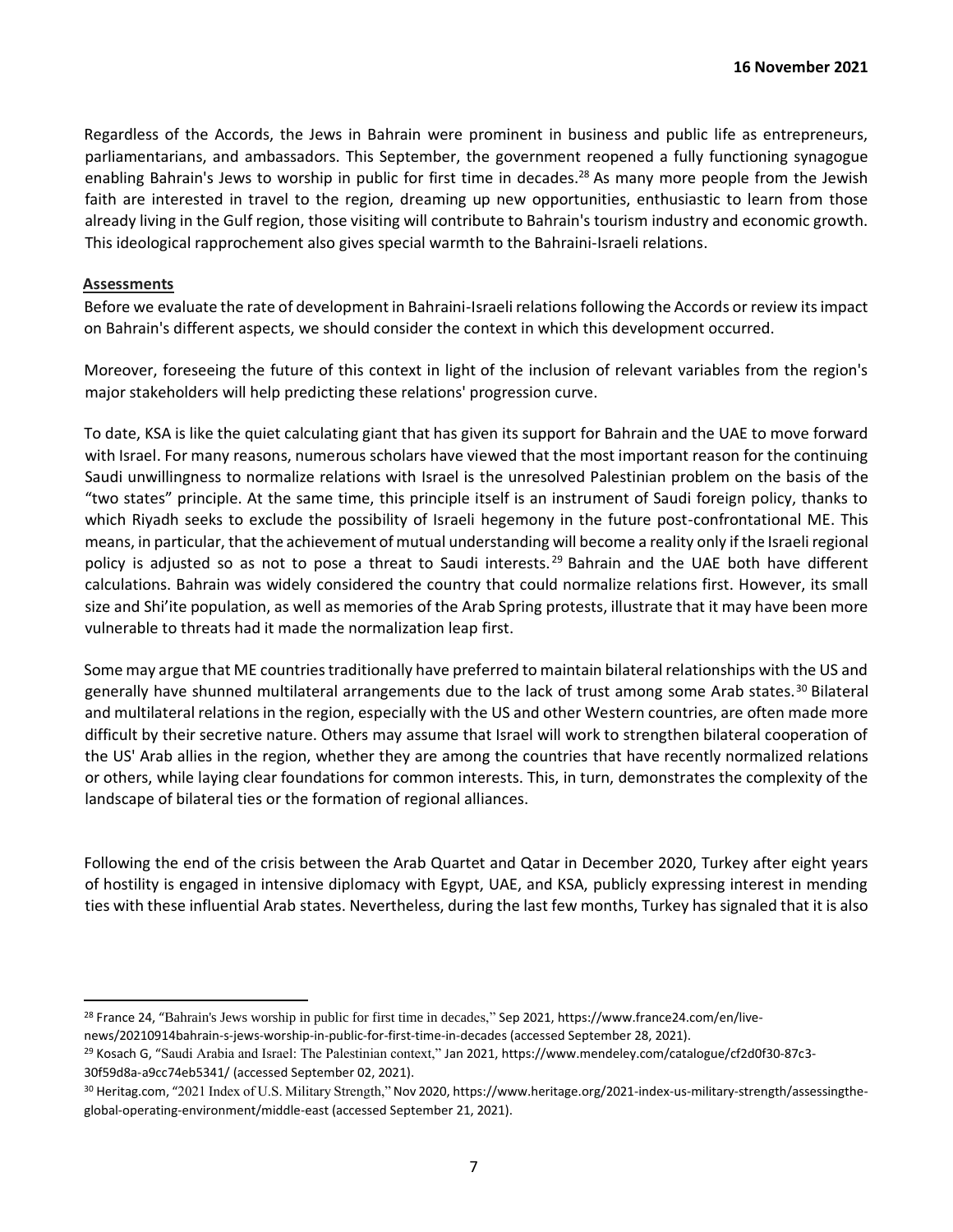Regardless of the Accords, the Jews in Bahrain were prominent in business and public life as entrepreneurs, parliamentarians, and ambassadors. This September, the government reopened a fully functioning synagogue enabling Bahrain's Jews to worship in public for first time in decades.<sup>28</sup> As many more people from the Jewish faith are interested in travel to the region, dreaming up new opportunities, enthusiastic to learn from those already living in the Gulf region, those visiting will contribute to Bahrain's tourism industry and economic growth. This ideological rapprochement also gives special warmth to the Bahraini-Israeli relations.

## **Assessments**

Before we evaluate the rate of development in Bahraini-Israeli relations following the Accords or review its impact on Bahrain's different aspects, we should consider the context in which this development occurred.

Moreover, foreseeing the future of this context in light of the inclusion of relevant variables from the region's major stakeholders will help predicting these relations' progression curve.

To date, KSA is like the quiet calculating giant that has given its support for Bahrain and the UAE to move forward with Israel. For many reasons, numerous scholars have viewed that the most important reason for the continuing Saudi unwillingness to normalize relations with Israel is the unresolved Palestinian problem on the basis of the "two states" principle. At the same time, this principle itself is an instrument of Saudi foreign policy, thanks to which Riyadh seeks to exclude the possibility of Israeli hegemony in the future post-confrontational ME. This means, in particular, that the achievement of mutual understanding will become a reality only if the Israeli regional policy is adjusted so as not to pose a threat to Saudi interests.<sup>29</sup> Bahrain and the UAE both have different calculations. Bahrain was widely considered the country that could normalize relations first. However, its small size and Shi'ite population, as well as memories of the Arab Spring protests, illustrate that it may have been more vulnerable to threats had it made the normalization leap first.

Some may argue that ME countries traditionally have preferred to maintain bilateral relationships with the US and generally have shunned multilateral arrangements due to the lack of trust among some Arab states.<sup>30</sup> Bilateral and multilateral relations in the region, especially with the US and other Western countries, are often made more difficult by their secretive nature. Others may assume that Israel will work to strengthen bilateral cooperation of the US' Arab allies in the region, whether they are among the countries that have recently normalized relations or others, while laying clear foundations for common interests. This, in turn, demonstrates the complexity of the landscape of bilateral ties or the formation of regional alliances.

Following the end of the crisis between the Arab Quartet and Qatar in December 2020, Turkey after eight years of hostility is engaged in intensive diplomacy with Egypt, UAE, and KSA, publicly expressing interest in mending ties with these influential Arab states. Nevertheless, during the last few months, Turkey has signaled that it is also

<sup>&</sup>lt;sup>28</sup> France 24, "Bahrain's Jews worship in public for first time in decades," Sep 2021, https://www.france24.com/en/live-

news/20210914bahrain-s-jews-worship-in-public-for-first-time-in-decades (accessed September 28, 2021).

<sup>29</sup> Kosach G, "Saudi Arabia and Israel: The Palestinian context," Jan 2021, https://www.mendeley.com/catalogue/cf2d0f30-87c3- 30f59d8a-a9cc74eb5341/ (accessed September 02, 2021).

<sup>30</sup> Heritag.com, "2021 Index of U.S. Military Strength," Nov 2020, https://www.heritage.org/2021-index-us-military-strength/assessingtheglobal-operating-environment/middle-east (accessed September 21, 2021).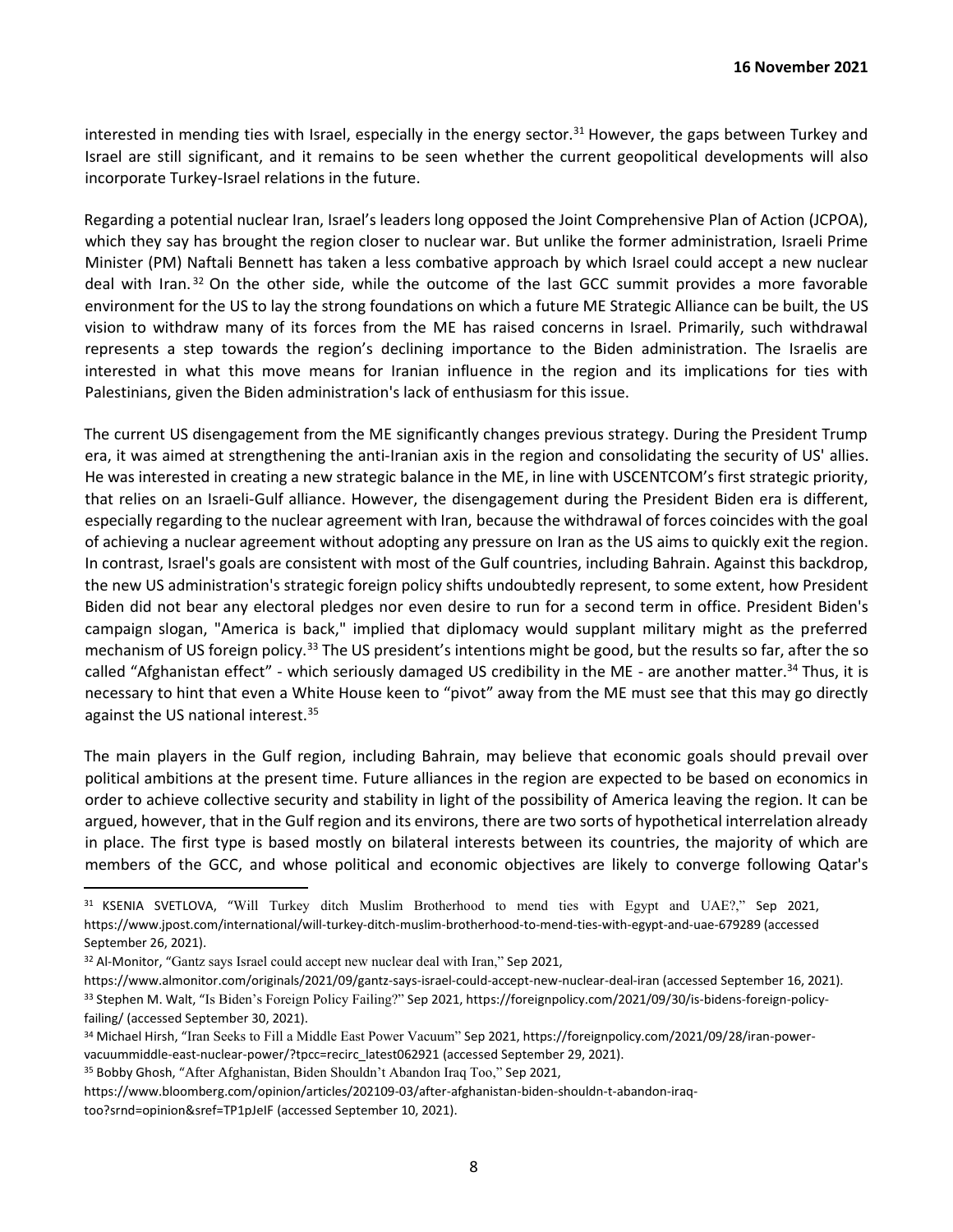interested in mending ties with Israel, especially in the energy sector.<sup>31</sup> However, the gaps between Turkey and Israel are still significant, and it remains to be seen whether the current geopolitical developments will also incorporate Turkey-Israel relations in the future.

Regarding a potential nuclear Iran, Israel's leaders long opposed the Joint Comprehensive Plan of Action (JCPOA), which they say has brought the region closer to nuclear war. But unlike the former administration, Israeli Prime Minister (PM) Naftali Bennett has taken a less combative approach by which Israel could accept a new nuclear deal with Iran.<sup>32</sup> On the other side, while the outcome of the last GCC summit provides a more favorable environment for the US to lay the strong foundations on which a future ME Strategic Alliance can be built, the US vision to withdraw many of its forces from the ME has raised concerns in Israel. Primarily, such withdrawal represents a step towards the region's declining importance to the Biden administration. The Israelis are interested in what this move means for Iranian influence in the region and its implications for ties with Palestinians, given the Biden administration's lack of enthusiasm for this issue.

The current US disengagement from the ME significantly changes previous strategy. During the President Trump era, it was aimed at strengthening the anti-Iranian axis in the region and consolidating the security of US' allies. He was interested in creating a new strategic balance in the ME, in line with USCENTCOM's first strategic priority, that relies on an Israeli-Gulf alliance. However, the disengagement during the President Biden era is different, especially regarding to the nuclear agreement with Iran, because the withdrawal of forces coincides with the goal of achieving a nuclear agreement without adopting any pressure on Iran as the US aims to quickly exit the region. In contrast, Israel's goals are consistent with most of the Gulf countries, including Bahrain. Against this backdrop, the new US administration's strategic foreign policy shifts undoubtedly represent, to some extent, how President Biden did not bear any electoral pledges nor even desire to run for a second term in office. President Biden's campaign slogan, "America is back," implied that diplomacy would supplant military might as the preferred mechanism of US foreign policy.<sup>33</sup> The US president's intentions might be good, but the results so far, after the so called "Afghanistan effect" - which seriously damaged US credibility in the ME - are another matter.<sup>34</sup> Thus, it is necessary to hint that even a White House keen to "pivot" away from the ME must see that this may go directly against the US national interest.<sup>35</sup>

The main players in the Gulf region, including Bahrain, may believe that economic goals should prevail over political ambitions at the present time. Future alliances in the region are expected to be based on economics in order to achieve collective security and stability in light of the possibility of America leaving the region. It can be argued, however, that in the Gulf region and its environs, there are two sorts of hypothetical interrelation already in place. The first type is based mostly on bilateral interests between its countries, the majority of which are members of the GCC, and whose political and economic objectives are likely to converge following Qatar's

- https://www.almonitor.com/originals/2021/09/gantz-says-israel-could-accept-new-nuclear-deal-iran (accessed September 16, 2021). <sup>33</sup> Stephen M. Walt, "Is Biden's Foreign Policy Failing?" Sep 2021, https://foreignpolicy.com/2021/09/30/is-bidens-foreign-policyfailing/ (accessed September 30, 2021).
- <sup>34</sup> Michael Hirsh, "Iran Seeks to Fill a Middle East Power Vacuum" Sep 2021, https://foreignpolicy.com/2021/09/28/iran-powervacuummiddle-east-nuclear-power/?tpcc=recirc\_latest062921 (accessed September 29, 2021).

<sup>35</sup> Bobby Ghosh, "After Afghanistan, Biden Shouldn't Abandon Iraq Too," Sep 2021,

<sup>31</sup> KSENIA SVETLOVA, "Will Turkey ditch Muslim Brotherhood to mend ties with Egypt and UAE?," Sep 2021, https://www.jpost.com/international/will-turkey-ditch-muslim-brotherhood-to-mend-ties-with-egypt-and-uae-679289 (accessed September 26, 2021).

<sup>32</sup> Al-Monitor, "Gantz says Israel could accept new nuclear deal with Iran," Sep 2021,

https://www.bloomberg.com/opinion/articles/202109-03/after-afghanistan-biden-shouldn-t-abandon-iraqtoo?srnd=opinion&sref=TP1pJeIF (accessed September 10, 2021).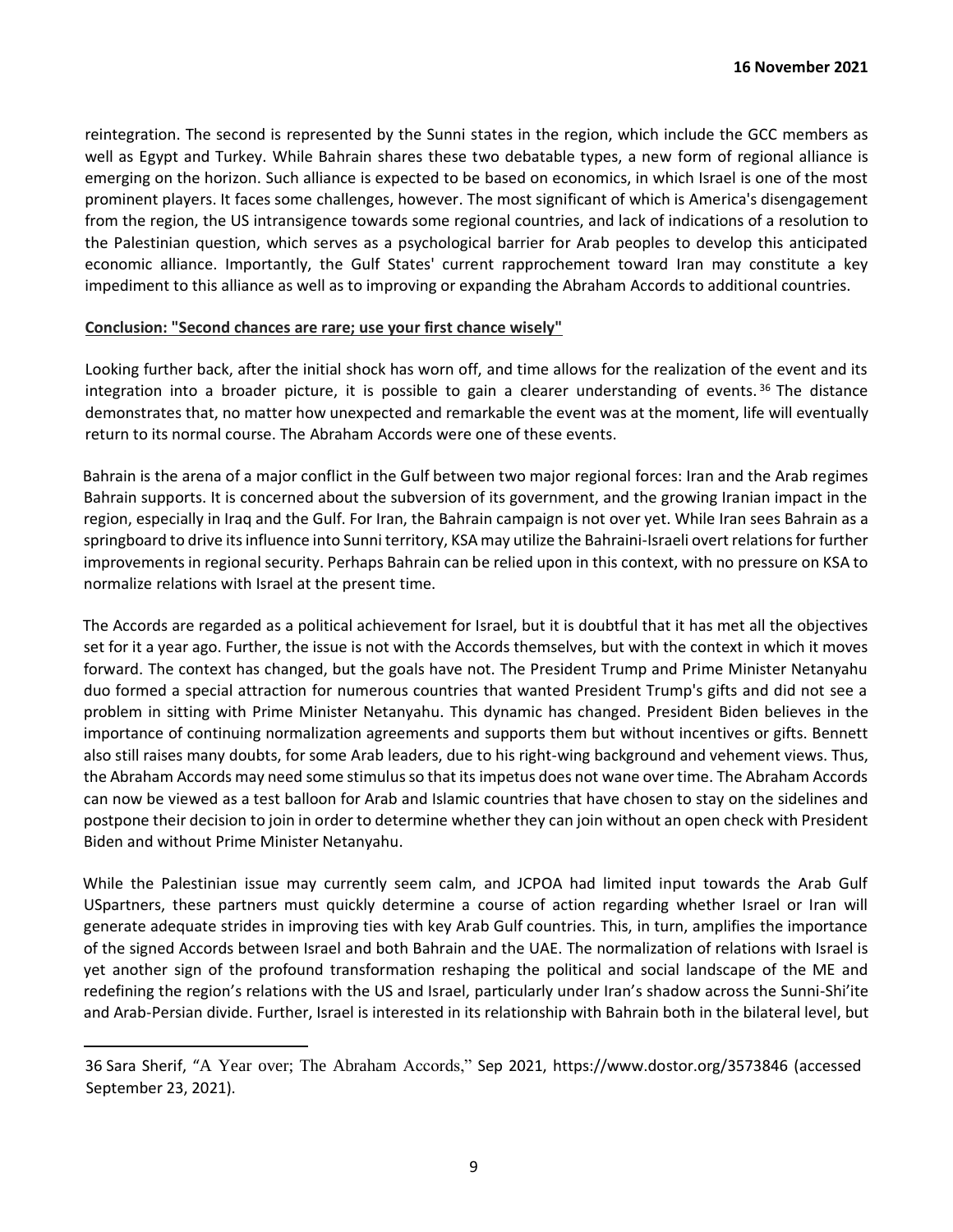reintegration. The second is represented by the Sunni states in the region, which include the GCC members as well as Egypt and Turkey. While Bahrain shares these two debatable types, a new form of regional alliance is emerging on the horizon. Such alliance is expected to be based on economics, in which Israel is one of the most prominent players. It faces some challenges, however. The most significant of which is America's disengagement from the region, the US intransigence towards some regional countries, and lack of indications of a resolution to the Palestinian question, which serves as a psychological barrier for Arab peoples to develop this anticipated economic alliance. Importantly, the Gulf States' current rapprochement toward Iran may constitute a key impediment to this alliance as well as to improving or expanding the Abraham Accords to additional countries.

## **Conclusion: "Second chances are rare; use your first chance wisely"**

Looking further back, after the initial shock has worn off, and time allows for the realization of the event and its integration into a broader picture, it is possible to gain a clearer understanding of events.<sup>36</sup> The distance demonstrates that, no matter how unexpected and remarkable the event was at the moment, life will eventually return to its normal course. The Abraham Accords were one of these events.

Bahrain is the arena of a major conflict in the Gulf between two major regional forces: Iran and the Arab regimes Bahrain supports. It is concerned about the subversion of its government, and the growing Iranian impact in the region, especially in Iraq and the Gulf. For Iran, the Bahrain campaign is not over yet. While Iran sees Bahrain as a springboard to drive its influence into Sunni territory, KSA may utilize the Bahraini-Israeli overt relations for further improvements in regional security. Perhaps Bahrain can be relied upon in this context, with no pressure on KSA to normalize relations with Israel at the present time.

The Accords are regarded as a political achievement for Israel, but it is doubtful that it has met all the objectives set for it a year ago. Further, the issue is not with the Accords themselves, but with the context in which it moves forward. The context has changed, but the goals have not. The President Trump and Prime Minister Netanyahu duo formed a special attraction for numerous countries that wanted President Trump's gifts and did not see a problem in sitting with Prime Minister Netanyahu. This dynamic has changed. President Biden believes in the importance of continuing normalization agreements and supports them but without incentives or gifts. Bennett also still raises many doubts, for some Arab leaders, due to his right-wing background and vehement views. Thus, the Abraham Accords may need some stimulus so that its impetus does not wane over time. The Abraham Accords can now be viewed as a test balloon for Arab and Islamic countries that have chosen to stay on the sidelines and postpone their decision to join in order to determine whether they can join without an open check with President Biden and without Prime Minister Netanyahu.

While the Palestinian issue may currently seem calm, and JCPOA had limited input towards the Arab Gulf USpartners, these partners must quickly determine a course of action regarding whether Israel or Iran will generate adequate strides in improving ties with key Arab Gulf countries. This, in turn, amplifies the importance of the signed Accords between Israel and both Bahrain and the UAE. The normalization of relations with Israel is yet another sign of the profound transformation reshaping the political and social landscape of the ME and redefining the region's relations with the US and Israel, particularly under Iran's shadow across the Sunni-Shi'ite and Arab-Persian divide. Further, Israel is interested in its relationship with Bahrain both in the bilateral level, but

<sup>36</sup> Sara Sherif, "A Year over; The Abraham Accords," Sep 2021, https://www.dostor.org/3573846 (accessed September 23, 2021).